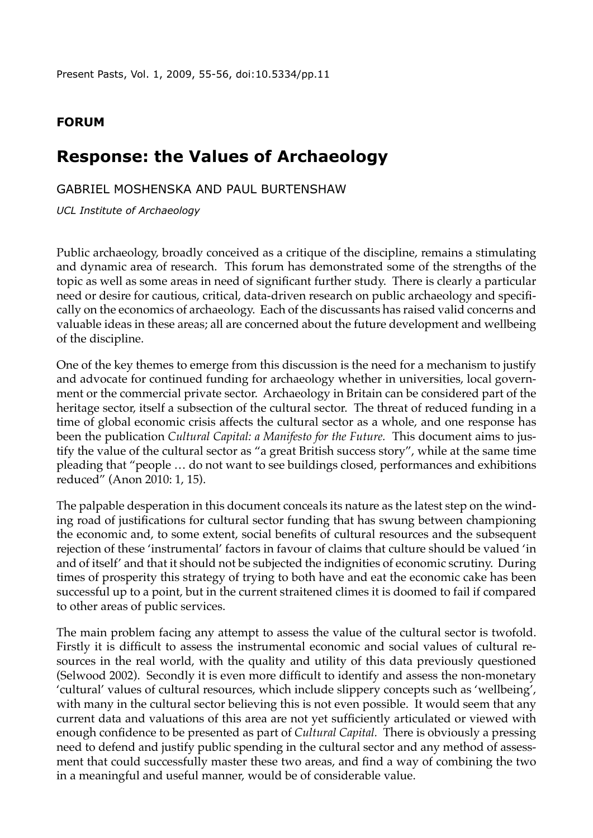Present Pasts, Vol. 1, 2009, 55-56, [doi:10.5334/pp.11](http://dx.doi.org/10.5334/pp.11)

## **Forum**

## **Response: the Values of Archaeology**

Gabriel moshenska and paul burtenshaw

*UCL Institute of Archaeology*

Public archaeology, broadly conceived as a critique of the discipline, remains a stimulating and dynamic area of research. This forum has demonstrated some of the strengths of the topic as well as some areas in need of significant further study. There is clearly a particular need or desire for cautious, critical, data-driven research on public archaeology and specifically on the economics of archaeology. Each of the discussants has raised valid concerns and valuable ideas in these areas; all are concerned about the future development and wellbeing of the discipline.

One of the key themes to emerge from this discussion is the need for a mechanism to justify and advocate for continued funding for archaeology whether in universities, local government or the commercial private sector. Archaeology in Britain can be considered part of the heritage sector, itself a subsection of the cultural sector. The threat of reduced funding in a time of global economic crisis affects the cultural sector as a whole, and one response has been the publication *Cultural Capital: a Manifesto for the Future.* This document aims to justify the value of the cultural sector as "a great British success story", while at the same time pleading that "people … do not want to see buildings closed, performances and exhibitions reduced" (Anon 2010: 1, 15).

The palpable desperation in this document conceals its nature as the latest step on the winding road of justifications for cultural sector funding that has swung between championing the economic and, to some extent, social benefits of cultural resources and the subsequent rejection of these 'instrumental' factors in favour of claims that culture should be valued 'in and of itself' and that it should not be subjected the indignities of economic scrutiny. During times of prosperity this strategy of trying to both have and eat the economic cake has been successful up to a point, but in the current straitened climes it is doomed to fail if compared to other areas of public services.

The main problem facing any attempt to assess the value of the cultural sector is twofold. Firstly it is difficult to assess the instrumental economic and social values of cultural resources in the real world, with the quality and utility of this data previously questioned (Selwood 2002). Secondly it is even more difficult to identify and assess the non-monetary 'cultural' values of cultural resources, which include slippery concepts such as 'wellbeing', with many in the cultural sector believing this is not even possible. It would seem that any current data and valuations of this area are not yet sufficiently articulated or viewed with enough confidence to be presented as part of *Cultural Capital.* There is obviously a pressing need to defend and justify public spending in the cultural sector and any method of assessment that could successfully master these two areas, and find a way of combining the two in a meaningful and useful manner, would be of considerable value.